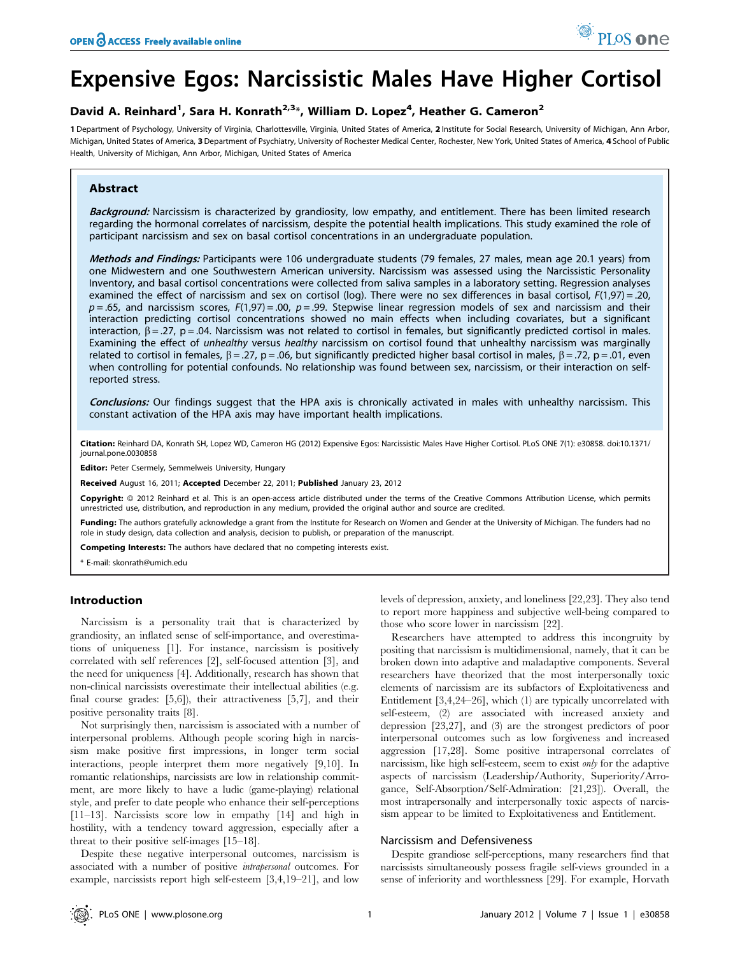# Expensive Egos: Narcissistic Males Have Higher Cortisol

# David A. Reinhard<sup>1</sup>, Sara H. Konrath<sup>2,3</sup>\*, William D. Lopez<sup>4</sup>, Heather G. Cameron<sup>2</sup>

1 Department of Psychology, University of Virginia, Charlottesville, Virginia, United States of America, 2 Institute for Social Research, University of Michigan, Ann Arbor, Michigan, United States of America, 3Department of Psychiatry, University of Rochester Medical Center, Rochester, New York, United States of America, 4 School of Public Health, University of Michigan, Ann Arbor, Michigan, United States of America

# Abstract

Background: Narcissism is characterized by grandiosity, low empathy, and entitlement. There has been limited research regarding the hormonal correlates of narcissism, despite the potential health implications. This study examined the role of participant narcissism and sex on basal cortisol concentrations in an undergraduate population.

Methods and Findings: Participants were 106 undergraduate students (79 females, 27 males, mean age 20.1 years) from one Midwestern and one Southwestern American university. Narcissism was assessed using the Narcissistic Personality Inventory, and basal cortisol concentrations were collected from saliva samples in a laboratory setting. Regression analyses examined the effect of narcissism and sex on cortisol (log). There were no sex differences in basal cortisol, F(1,97) = .20,  $p = .65$ , and narcissism scores,  $F(1,97) = .00$ ,  $p = .99$ . Stepwise linear regression models of sex and narcissism and their interaction predicting cortisol concentrations showed no main effects when including covariates, but a significant interaction,  $\beta$  = .27, p = .04. Narcissism was not related to cortisol in females, but significantly predicted cortisol in males. Examining the effect of unhealthy versus healthy narcissism on cortisol found that unhealthy narcissism was marginally related to cortisol in females,  $\beta = .27$ ,  $p = .06$ , but significantly predicted higher basal cortisol in males,  $\beta = .72$ ,  $p = .01$ , even when controlling for potential confounds. No relationship was found between sex, narcissism, or their interaction on selfreported stress.

Conclusions: Our findings suggest that the HPA axis is chronically activated in males with unhealthy narcissism. This constant activation of the HPA axis may have important health implications.

Citation: Reinhard DA, Konrath SH, Lopez WD, Cameron HG (2012) Expensive Egos: Narcissistic Males Have Higher Cortisol. PLoS ONE 7(1): e30858. doi:10.1371/ journal.pone.0030858

Editor: Peter Csermely, Semmelweis University, Hungary

Received August 16, 2011; Accepted December 22, 2011; Published January 23, 2012

Copyright: © 2012 Reinhard et al. This is an open-access article distributed under the terms of the Creative Commons Attribution License, which permits unrestricted use, distribution, and reproduction in any medium, provided the original author and source are credited.

Funding: The authors gratefully acknowledge a grant from the Institute for Research on Women and Gender at the University of Michigan. The funders had no role in study design, data collection and analysis, decision to publish, or preparation of the manuscript.

Competing Interests: The authors have declared that no competing interests exist.

\* E-mail: skonrath@umich.edu

# Introduction

Narcissism is a personality trait that is characterized by grandiosity, an inflated sense of self-importance, and overestimations of uniqueness [1]. For instance, narcissism is positively correlated with self references [2], self-focused attention [3], and the need for uniqueness [4]. Additionally, research has shown that non-clinical narcissists overestimate their intellectual abilities (e.g. final course grades: [5,6]), their attractiveness [5,7], and their positive personality traits [8].

Not surprisingly then, narcissism is associated with a number of interpersonal problems. Although people scoring high in narcissism make positive first impressions, in longer term social interactions, people interpret them more negatively [9,10]. In romantic relationships, narcissists are low in relationship commitment, are more likely to have a ludic (game-playing) relational style, and prefer to date people who enhance their self-perceptions [11–13]. Narcissists score low in empathy [14] and high in hostility, with a tendency toward aggression, especially after a threat to their positive self-images [15–18].

Despite these negative interpersonal outcomes, narcissism is associated with a number of positive intrapersonal outcomes. For example, narcissists report high self-esteem [3,4,19–21], and low levels of depression, anxiety, and loneliness [22,23]. They also tend to report more happiness and subjective well-being compared to those who score lower in narcissism [22].

Researchers have attempted to address this incongruity by positing that narcissism is multidimensional, namely, that it can be broken down into adaptive and maladaptive components. Several researchers have theorized that the most interpersonally toxic elements of narcissism are its subfactors of Exploitativeness and Entitlement [3,4,24–26], which (1) are typically uncorrelated with self-esteem, (2) are associated with increased anxiety and depression [23,27], and (3) are the strongest predictors of poor interpersonal outcomes such as low forgiveness and increased aggression [17,28]. Some positive intrapersonal correlates of narcissism, like high self-esteem, seem to exist only for the adaptive aspects of narcissism (Leadership/Authority, Superiority/Arrogance, Self-Absorption/Self-Admiration: [21,23]). Overall, the most intrapersonally and interpersonally toxic aspects of narcissism appear to be limited to Exploitativeness and Entitlement.

#### Narcissism and Defensiveness

Despite grandiose self-perceptions, many researchers find that narcissists simultaneously possess fragile self-views grounded in a sense of inferiority and worthlessness [29]. For example, Horvath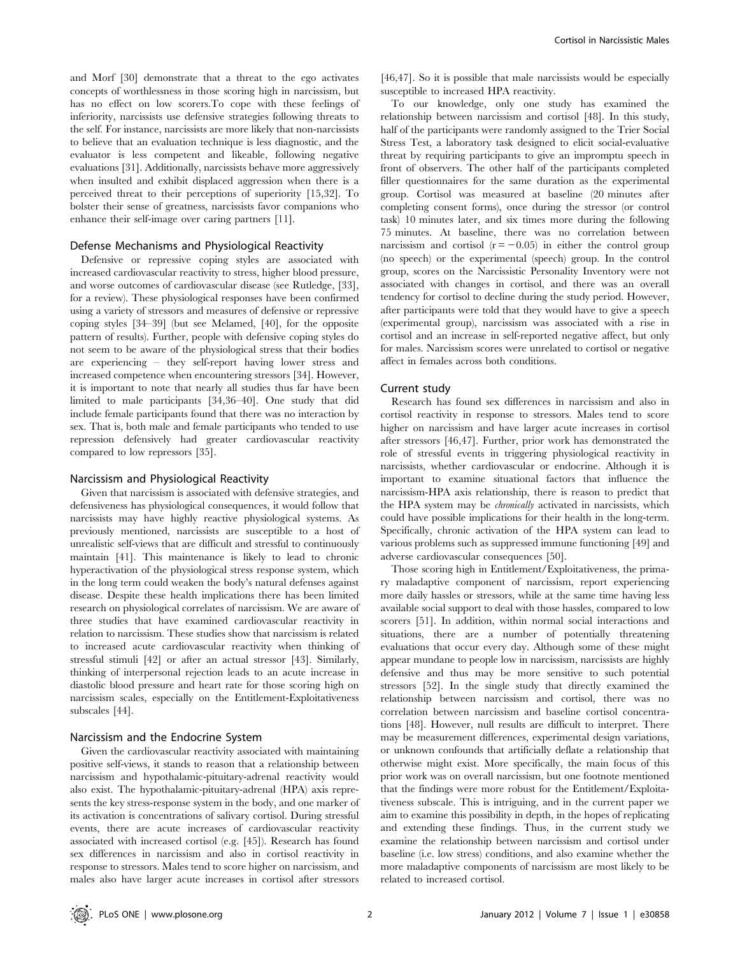and Morf [30] demonstrate that a threat to the ego activates concepts of worthlessness in those scoring high in narcissism, but has no effect on low scorers.To cope with these feelings of inferiority, narcissists use defensive strategies following threats to the self. For instance, narcissists are more likely that non-narcissists to believe that an evaluation technique is less diagnostic, and the evaluator is less competent and likeable, following negative evaluations [31]. Additionally, narcissists behave more aggressively when insulted and exhibit displaced aggression when there is a perceived threat to their perceptions of superiority [15,32]. To bolster their sense of greatness, narcissists favor companions who enhance their self-image over caring partners [11].

#### Defense Mechanisms and Physiological Reactivity

Defensive or repressive coping styles are associated with increased cardiovascular reactivity to stress, higher blood pressure, and worse outcomes of cardiovascular disease (see Rutledge, [33], for a review). These physiological responses have been confirmed using a variety of stressors and measures of defensive or repressive coping styles [34–39] (but see Melamed, [40], for the opposite pattern of results). Further, people with defensive coping styles do not seem to be aware of the physiological stress that their bodies are experiencing – they self-report having lower stress and increased competence when encountering stressors [34]. However, it is important to note that nearly all studies thus far have been limited to male participants [34,36–40]. One study that did include female participants found that there was no interaction by sex. That is, both male and female participants who tended to use repression defensively had greater cardiovascular reactivity compared to low repressors [35].

#### Narcissism and Physiological Reactivity

Given that narcissism is associated with defensive strategies, and defensiveness has physiological consequences, it would follow that narcissists may have highly reactive physiological systems. As previously mentioned, narcissists are susceptible to a host of unrealistic self-views that are difficult and stressful to continuously maintain [41]. This maintenance is likely to lead to chronic hyperactivation of the physiological stress response system, which in the long term could weaken the body's natural defenses against disease. Despite these health implications there has been limited research on physiological correlates of narcissism. We are aware of three studies that have examined cardiovascular reactivity in relation to narcissism. These studies show that narcissism is related to increased acute cardiovascular reactivity when thinking of stressful stimuli [42] or after an actual stressor [43]. Similarly, thinking of interpersonal rejection leads to an acute increase in diastolic blood pressure and heart rate for those scoring high on narcissism scales, especially on the Entitlement-Exploitativeness subscales [44].

#### Narcissism and the Endocrine System

Given the cardiovascular reactivity associated with maintaining positive self-views, it stands to reason that a relationship between narcissism and hypothalamic-pituitary-adrenal reactivity would also exist. The hypothalamic-pituitary-adrenal (HPA) axis represents the key stress-response system in the body, and one marker of its activation is concentrations of salivary cortisol. During stressful events, there are acute increases of cardiovascular reactivity associated with increased cortisol (e.g. [45]). Research has found sex differences in narcissism and also in cortisol reactivity in response to stressors. Males tend to score higher on narcissism, and males also have larger acute increases in cortisol after stressors

[46,47]. So it is possible that male narcissists would be especially susceptible to increased HPA reactivity.

To our knowledge, only one study has examined the relationship between narcissism and cortisol [48]. In this study, half of the participants were randomly assigned to the Trier Social Stress Test, a laboratory task designed to elicit social-evaluative threat by requiring participants to give an impromptu speech in front of observers. The other half of the participants completed filler questionnaires for the same duration as the experimental group. Cortisol was measured at baseline (20 minutes after completing consent forms), once during the stressor (or control task) 10 minutes later, and six times more during the following 75 minutes. At baseline, there was no correlation between narcissism and cortisol  $(r = -0.05)$  in either the control group (no speech) or the experimental (speech) group. In the control group, scores on the Narcissistic Personality Inventory were not associated with changes in cortisol, and there was an overall tendency for cortisol to decline during the study period. However, after participants were told that they would have to give a speech (experimental group), narcissism was associated with a rise in cortisol and an increase in self-reported negative affect, but only for males. Narcissism scores were unrelated to cortisol or negative affect in females across both conditions.

#### Current study

Research has found sex differences in narcissism and also in cortisol reactivity in response to stressors. Males tend to score higher on narcissism and have larger acute increases in cortisol after stressors [46,47]. Further, prior work has demonstrated the role of stressful events in triggering physiological reactivity in narcissists, whether cardiovascular or endocrine. Although it is important to examine situational factors that influence the narcissism-HPA axis relationship, there is reason to predict that the HPA system may be chronically activated in narcissists, which could have possible implications for their health in the long-term. Specifically, chronic activation of the HPA system can lead to various problems such as suppressed immune functioning [49] and adverse cardiovascular consequences [50].

Those scoring high in Entitlement/Exploitativeness, the primary maladaptive component of narcissism, report experiencing more daily hassles or stressors, while at the same time having less available social support to deal with those hassles, compared to low scorers [51]. In addition, within normal social interactions and situations, there are a number of potentially threatening evaluations that occur every day. Although some of these might appear mundane to people low in narcissism, narcissists are highly defensive and thus may be more sensitive to such potential stressors [52]. In the single study that directly examined the relationship between narcissism and cortisol, there was no correlation between narcissism and baseline cortisol concentrations [48]. However, null results are difficult to interpret. There may be measurement differences, experimental design variations, or unknown confounds that artificially deflate a relationship that otherwise might exist. More specifically, the main focus of this prior work was on overall narcissism, but one footnote mentioned that the findings were more robust for the Entitlement/Exploitativeness subscale. This is intriguing, and in the current paper we aim to examine this possibility in depth, in the hopes of replicating and extending these findings. Thus, in the current study we examine the relationship between narcissism and cortisol under baseline (i.e. low stress) conditions, and also examine whether the more maladaptive components of narcissism are most likely to be related to increased cortisol.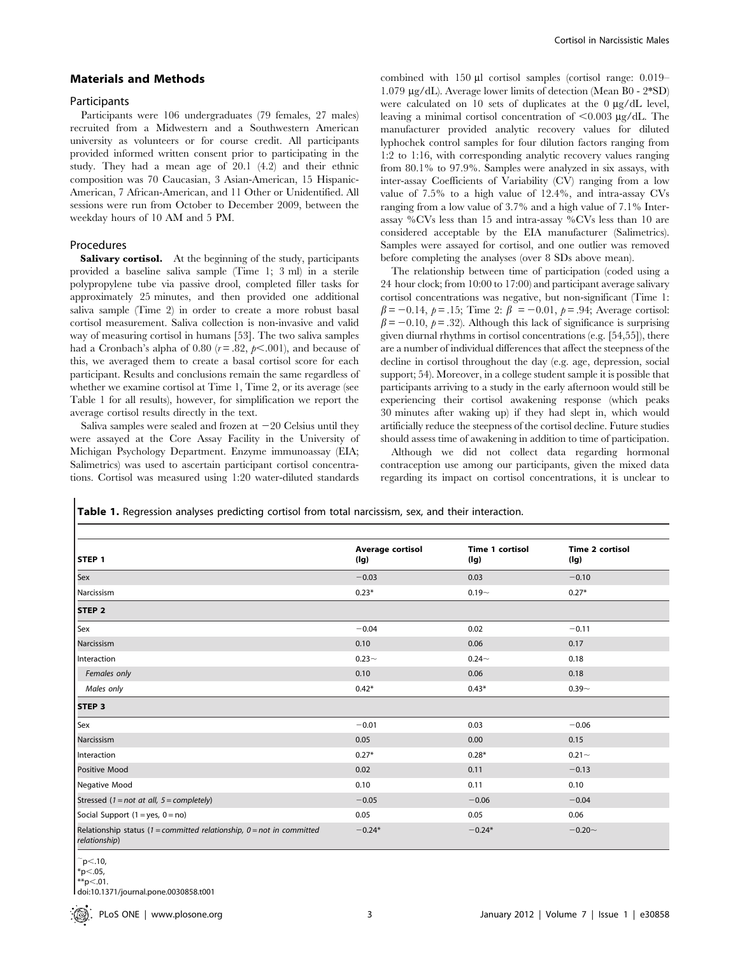# Materials and Methods

# **Participants**

Participants were 106 undergraduates (79 females, 27 males) recruited from a Midwestern and a Southwestern American university as volunteers or for course credit. All participants provided informed written consent prior to participating in the study. They had a mean age of 20.1 (4.2) and their ethnic composition was 70 Caucasian, 3 Asian-American, 15 Hispanic-American, 7 African-American, and 11 Other or Unidentified. All sessions were run from October to December 2009, between the weekday hours of 10 AM and 5 PM.

# Procedures

Salivary cortisol. At the beginning of the study, participants provided a baseline saliva sample (Time 1; 3 ml) in a sterile polypropylene tube via passive drool, completed filler tasks for approximately 25 minutes, and then provided one additional saliva sample (Time 2) in order to create a more robust basal cortisol measurement. Saliva collection is non-invasive and valid way of measuring cortisol in humans [53]. The two saliva samples had a Cronbach's alpha of 0.80 ( $r = .82$ ,  $p \le .001$ ), and because of this, we averaged them to create a basal cortisol score for each participant. Results and conclusions remain the same regardless of whether we examine cortisol at Time 1, Time 2, or its average (see Table 1 for all results), however, for simplification we report the average cortisol results directly in the text.

Saliva samples were sealed and frozen at  $-20$  Celsius until they were assayed at the Core Assay Facility in the University of Michigan Psychology Department. Enzyme immunoassay (EIA; Salimetrics) was used to ascertain participant cortisol concentrations. Cortisol was measured using 1:20 water-diluted standards combined with  $150 \mu l$  cortisol samples (cortisol range:  $0.019-$ 1.079 mg/dL). Average lower limits of detection (Mean B0 - 2\*SD) were calculated on 10 sets of duplicates at the  $0 \mu g/dL$  level, leaving a minimal cortisol concentration of  $< 0.003 \mu g/dL$ . The manufacturer provided analytic recovery values for diluted lyphochek control samples for four dilution factors ranging from 1:2 to 1:16, with corresponding analytic recovery values ranging from 80.1% to 97.9%. Samples were analyzed in six assays, with inter-assay Coefficients of Variability (CV) ranging from a low value of 7.5% to a high value of 12.4%, and intra-assay CVs ranging from a low value of 3.7% and a high value of 7.1% Interassay %CVs less than 15 and intra-assay %CVs less than 10 are considered acceptable by the EIA manufacturer (Salimetrics). Samples were assayed for cortisol, and one outlier was removed before completing the analyses (over 8 SDs above mean).

The relationship between time of participation (coded using a 24 hour clock; from 10:00 to 17:00) and participant average salivary cortisol concentrations was negative, but non-significant (Time 1:  $\beta = -0.14$ ,  $p = .15$ ; Time 2:  $\beta = -0.01$ ,  $p = .94$ ; Average cortisol:  $\beta$  = -0.10,  $\rho$  = .32). Although this lack of significance is surprising given diurnal rhythms in cortisol concentrations (e.g. [54,55]), there are a number of individual differences that affect the steepness of the decline in cortisol throughout the day (e.g. age, depression, social support; 54). Moreover, in a college student sample it is possible that participants arriving to a study in the early afternoon would still be experiencing their cortisol awakening response (which peaks 30 minutes after waking up) if they had slept in, which would artificially reduce the steepness of the cortisol decline. Future studies should assess time of awakening in addition to time of participation.

Although we did not collect data regarding hormonal contraception use among our participants, given the mixed data regarding its impact on cortisol concentrations, it is unclear to

Table 1. Regression analyses predicting cortisol from total narcissism, sex, and their interaction.

|                                                                                          | Average cortisol | Time 1 cortisol | <b>Time 2 cortisol</b> |
|------------------------------------------------------------------------------------------|------------------|-----------------|------------------------|
| STEP 1                                                                                   | (lg)             | (lg)            | (lg)                   |
| Sex                                                                                      | $-0.03$          | 0.03            | $-0.10$                |
| Narcissism                                                                               | $0.23*$          | $0.19 -$        | $0.27*$                |
| STEP <sub>2</sub>                                                                        |                  |                 |                        |
| Sex                                                                                      | $-0.04$          | 0.02            | $-0.11$                |
| Narcissism                                                                               | 0.10             | 0.06            | 0.17                   |
| Interaction                                                                              | $0.23 -$         | $0.24 -$        | 0.18                   |
| Females only                                                                             | 0.10             | 0.06            | 0.18                   |
| Males only                                                                               | $0.42*$          | $0.43*$         | $0.39 -$               |
| STEP <sub>3</sub>                                                                        |                  |                 |                        |
| Sex                                                                                      | $-0.01$          | 0.03            | $-0.06$                |
| Narcissism                                                                               | 0.05             | 0.00            | 0.15                   |
| Interaction                                                                              | $0.27*$          | $0.28*$         | $0.21 -$               |
| <b>Positive Mood</b>                                                                     | 0.02             | 0.11            | $-0.13$                |
| Negative Mood                                                                            | 0.10             | 0.11            | 0.10                   |
| Stressed $(1 = not at all, 5 = completely)$                                              | $-0.05$          | $-0.06$         | $-0.04$                |
| Social Support $(1 = yes, 0 = no)$                                                       | 0.05             | 0.05            | 0.06                   |
| Relationship status (1 = committed relationship, $0 = not$ in committed<br>relationship) | $-0.24*$         | $-0.24*$        | $-0.20 -$              |

 $\bar{p}$  <.10,  $~^{\ast}p<.05$ ,

 $*p<.01$ .

doi:10.1371/journal.pone.0030858.t001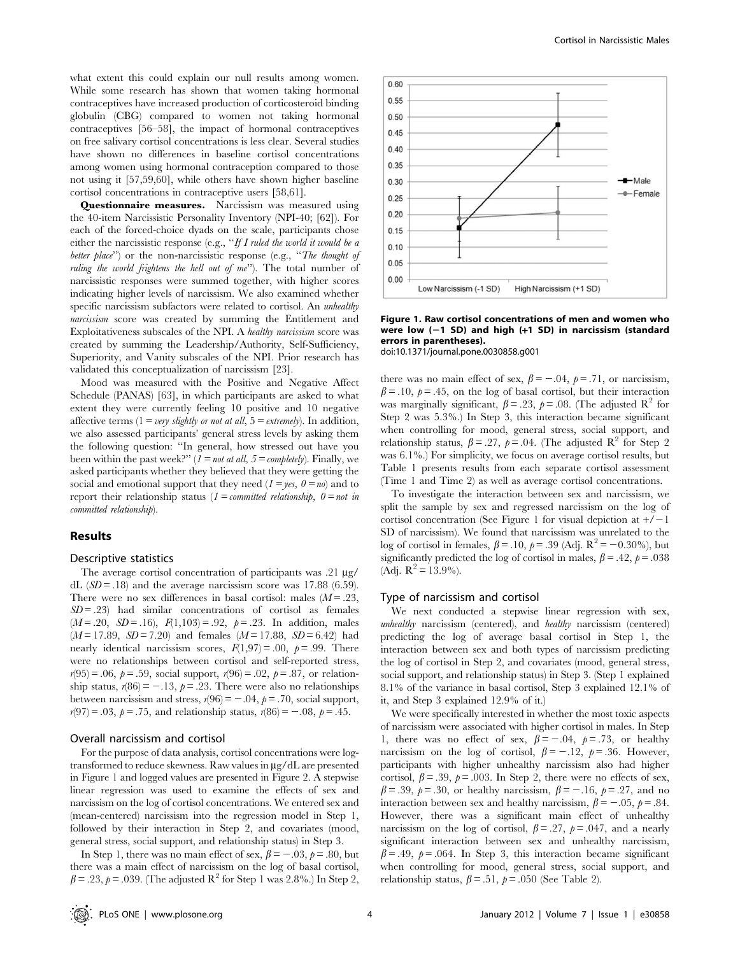what extent this could explain our null results among women. While some research has shown that women taking hormonal contraceptives have increased production of corticosteroid binding globulin (CBG) compared to women not taking hormonal contraceptives [56–58], the impact of hormonal contraceptives on free salivary cortisol concentrations is less clear. Several studies have shown no differences in baseline cortisol concentrations among women using hormonal contraception compared to those not using it [57,59,60], while others have shown higher baseline cortisol concentrations in contraceptive users [58,61].

Questionnaire measures. Narcissism was measured using the 40-item Narcissistic Personality Inventory (NPI-40; [62]). For each of the forced-choice dyads on the scale, participants chose either the narcissistic response (e.g., "If I ruled the world it would be a better place") or the non-narcissistic response (e.g., "The thought of ruling the world frightens the hell out of me''). The total number of narcissistic responses were summed together, with higher scores indicating higher levels of narcissism. We also examined whether specific narcissism subfactors were related to cortisol. An *unhealthy* narcissism score was created by summing the Entitlement and Exploitativeness subscales of the NPI. A healthy narcissism score was created by summing the Leadership/Authority, Self-Sufficiency, Superiority, and Vanity subscales of the NPI. Prior research has validated this conceptualization of narcissism [23].

Mood was measured with the Positive and Negative Affect Schedule (PANAS) [63], in which participants are asked to what extent they were currently feeling 10 positive and 10 negative affective terms ( $1 = very$  slightly or not at all,  $5 = extremely$ ). In addition, we also assessed participants' general stress levels by asking them the following question: ''In general, how stressed out have you been within the past week?"  $(I = not at all, 5 = completely)$ . Finally, we asked participants whether they believed that they were getting the social and emotional support that they need  $(1 = yes, 0 = no)$  and to report their relationship status ( $1 = committed$  relationship,  $0 = not$  in committed relationship).

#### Results

#### Descriptive statistics

The average cortisol concentration of participants was .21 µg/ dL  $(SD = .18)$  and the average narcissism score was 17.88 (6.59). There were no sex differences in basal cortisol: males  $(M = .23, )$  $SD = .23$ ) had similar concentrations of cortisol as females  $(M = .20, SD = .16), F(1,103) = .92, p = .23.$  In addition, males  $(M = 17.89, SD = 7.20)$  and females  $(M = 17.88, SD = 6.42)$  had nearly identical narcissism scores,  $F(1,97) = .00$ ,  $p = .99$ . There were no relationships between cortisol and self-reported stress,  $r(95) = .06, p = .59$ , social support,  $r(96) = .02, p = .87$ , or relationship status,  $r(86) = -.13$ ,  $p = .23$ . There were also no relationships between narcissism and stress,  $r(96) = -.04$ ,  $p = .70$ , social support,  $r(97) = .03, p = .75,$  and relationship status,  $r(86) = -.08, p = .45.$ 

#### Overall narcissism and cortisol

For the purpose of data analysis, cortisol concentrations were logtransformed to reduce skewness. Raw values in  $\mu$ g/dL are presented in Figure 1 and logged values are presented in Figure 2. A stepwise linear regression was used to examine the effects of sex and narcissism on the log of cortisol concentrations. We entered sex and (mean-centered) narcissism into the regression model in Step 1, followed by their interaction in Step 2, and covariates (mood, general stress, social support, and relationship status) in Step 3.

In Step 1, there was no main effect of sex,  $\beta = -0.03$ ,  $\rho = 0.80$ , but there was a main effect of narcissism on the log of basal cortisol,  $\beta = .23, \, \rho = .039$ . (The adjusted R<sup>2</sup> for Step 1 was 2.8%.) In Step 2,



# Figure 1. Raw cortisol concentrations of men and women who were low  $(-1$  SD) and high  $(+1$  SD) in narcissism (standard errors in parentheses).

doi:10.1371/journal.pone.0030858.g001

there was no main effect of sex,  $\beta = -0.04$ ,  $\rho = 0.71$ , or narcissism,  $\beta = 0.10$ ,  $\beta = 0.45$ , on the log of basal cortisol, but their interaction was marginally significant,  $\beta = .23$ ,  $\rho = .08$ . (The adjusted R<sup>2</sup> for Step 2 was 5.3%.) In Step 3, this interaction became significant when controlling for mood, general stress, social support, and relationship status,  $\beta = .27$ ,  $\rho = .04$ . (The adjusted R<sup>2</sup> for Step 2) was 6.1%.) For simplicity, we focus on average cortisol results, but Table 1 presents results from each separate cortisol assessment (Time 1 and Time 2) as well as average cortisol concentrations.

To investigate the interaction between sex and narcissism, we split the sample by sex and regressed narcissism on the log of cortisol concentration (See Figure 1 for visual depiction at  $+/-1$ SD of narcissism). We found that narcissism was unrelated to the log of cortisol in females,  $\beta = .10$ ,  $\rho = .39$  (Adj.  $R^2 = -0.30\%$ ), but significantly predicted the log of cortisol in males,  $\beta = .42$ ,  $\rho = .038$ (Adj.  $R^2 = 13.9\%$ ).

# Type of narcissism and cortisol

We next conducted a stepwise linear regression with sex, unhealthy narcissism (centered), and healthy narcissism (centered) predicting the log of average basal cortisol in Step 1, the interaction between sex and both types of narcissism predicting the log of cortisol in Step 2, and covariates (mood, general stress, social support, and relationship status) in Step 3. (Step 1 explained 8.1% of the variance in basal cortisol, Step 3 explained 12.1% of it, and Step 3 explained 12.9% of it.)

We were specifically interested in whether the most toxic aspects of narcissism were associated with higher cortisol in males. In Step 1, there was no effect of sex,  $\beta = -.04$ ,  $\rho = .73$ , or healthy narcissism on the log of cortisol,  $\beta = -12$ ,  $\rho = 0.36$ . However, participants with higher unhealthy narcissism also had higher cortisol,  $\beta = .39$ ,  $\rho = .003$ . In Step 2, there were no effects of sex,  $\beta$  = .39,  $p$  = .30, or healthy narcissism,  $\beta$  = -.16,  $p$  = .27, and no interaction between sex and healthy narcissism,  $\beta = -.05$ ,  $\rho = .84$ . However, there was a significant main effect of unhealthy narcissism on the log of cortisol,  $\beta = .27$ ,  $p = .047$ , and a nearly significant interaction between sex and unhealthy narcissism,  $\beta = .49$ ,  $\rho = .064$ . In Step 3, this interaction became significant when controlling for mood, general stress, social support, and relationship status,  $\beta = .51$ ,  $\rho = .050$  (See Table 2).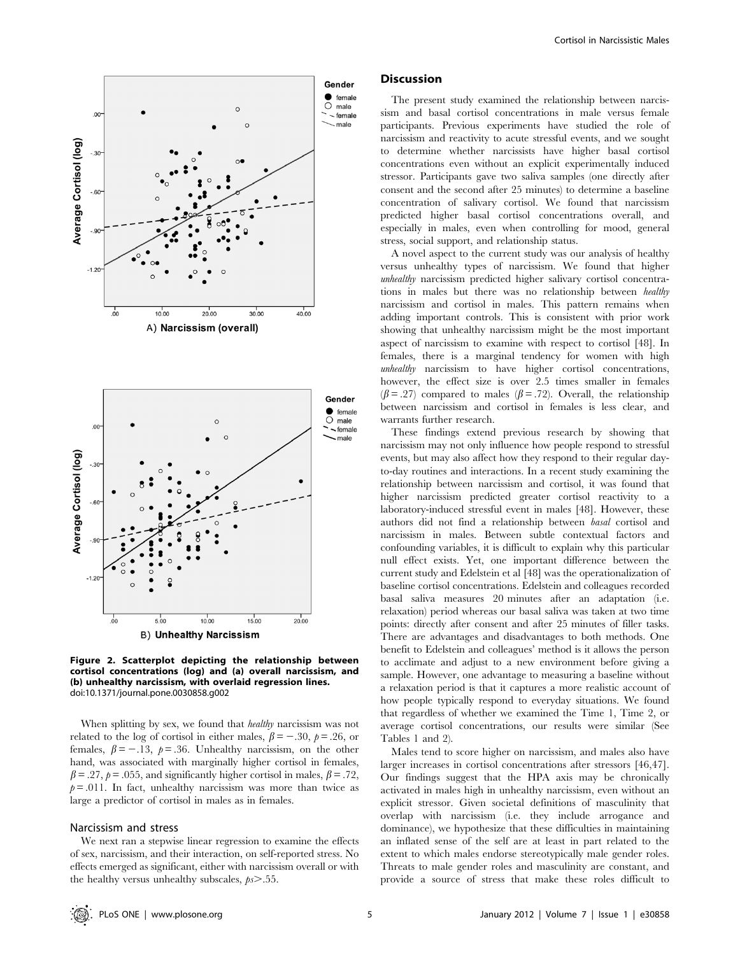

Figure 2. Scatterplot depicting the relationship between cortisol concentrations (log) and (a) overall narcissism, and (b) unhealthy narcissism, with overlaid regression lines. doi:10.1371/journal.pone.0030858.g002

When splitting by sex, we found that *healthy* narcissism was not related to the log of cortisol in either males,  $\beta = -.30, \ p = .26, \text{ or }$ females,  $\beta = -13$ ,  $\rho = 0.36$ . Unhealthy narcissism, on the other hand, was associated with marginally higher cortisol in females,  $\beta = .27$ ,  $\rho = .055$ , and significantly higher cortisol in males,  $\beta = .72$ ,  $p = .011$ . In fact, unhealthy narcissism was more than twice as large a predictor of cortisol in males as in females.

# Narcissism and stress

We next ran a stepwise linear regression to examine the effects of sex, narcissism, and their interaction, on self-reported stress. No effects emerged as significant, either with narcissism overall or with the healthy versus unhealthy subscales,  $p_s$  > .55.

# **Discussion**

The present study examined the relationship between narcissism and basal cortisol concentrations in male versus female participants. Previous experiments have studied the role of narcissism and reactivity to acute stressful events, and we sought to determine whether narcissists have higher basal cortisol concentrations even without an explicit experimentally induced stressor. Participants gave two saliva samples (one directly after consent and the second after 25 minutes) to determine a baseline concentration of salivary cortisol. We found that narcissism predicted higher basal cortisol concentrations overall, and especially in males, even when controlling for mood, general stress, social support, and relationship status.

A novel aspect to the current study was our analysis of healthy versus unhealthy types of narcissism. We found that higher unhealthy narcissism predicted higher salivary cortisol concentrations in males but there was no relationship between healthy narcissism and cortisol in males. This pattern remains when adding important controls. This is consistent with prior work showing that unhealthy narcissism might be the most important aspect of narcissism to examine with respect to cortisol [48]. In females, there is a marginal tendency for women with high unhealthy narcissism to have higher cortisol concentrations, however, the effect size is over 2.5 times smaller in females  $(\beta = .27)$  compared to males  $(\beta = .72)$ . Overall, the relationship between narcissism and cortisol in females is less clear, and warrants further research.

These findings extend previous research by showing that narcissism may not only influence how people respond to stressful events, but may also affect how they respond to their regular dayto-day routines and interactions. In a recent study examining the relationship between narcissism and cortisol, it was found that higher narcissism predicted greater cortisol reactivity to a laboratory-induced stressful event in males [48]. However, these authors did not find a relationship between basal cortisol and narcissism in males. Between subtle contextual factors and confounding variables, it is difficult to explain why this particular null effect exists. Yet, one important difference between the current study and Edelstein et al [48] was the operationalization of baseline cortisol concentrations. Edelstein and colleagues recorded basal saliva measures 20 minutes after an adaptation (i.e. relaxation) period whereas our basal saliva was taken at two time points: directly after consent and after 25 minutes of filler tasks. There are advantages and disadvantages to both methods. One benefit to Edelstein and colleagues' method is it allows the person to acclimate and adjust to a new environment before giving a sample. However, one advantage to measuring a baseline without a relaxation period is that it captures a more realistic account of how people typically respond to everyday situations. We found that regardless of whether we examined the Time 1, Time 2, or average cortisol concentrations, our results were similar (See Tables 1 and 2).

Males tend to score higher on narcissism, and males also have larger increases in cortisol concentrations after stressors [46,47]. Our findings suggest that the HPA axis may be chronically activated in males high in unhealthy narcissism, even without an explicit stressor. Given societal definitions of masculinity that overlap with narcissism (i.e. they include arrogance and dominance), we hypothesize that these difficulties in maintaining an inflated sense of the self are at least in part related to the extent to which males endorse stereotypically male gender roles. Threats to male gender roles and masculinity are constant, and provide a source of stress that make these roles difficult to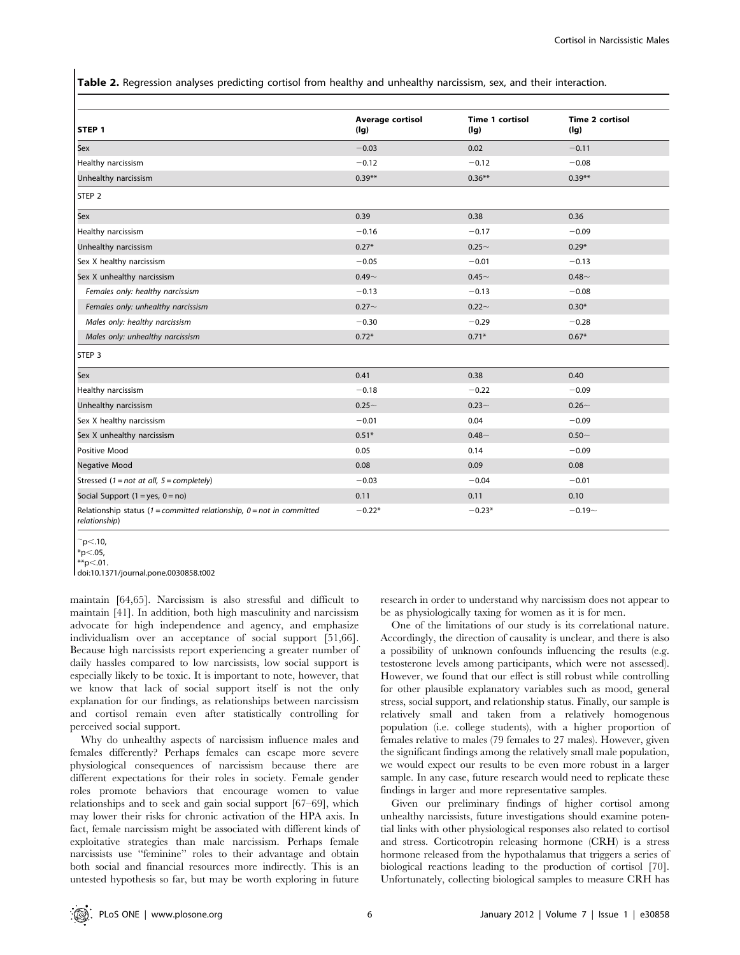Table 2. Regression analyses predicting cortisol from healthy and unhealthy narcissism, sex, and their interaction.

| STEP <sub>1</sub>                                                                        | Average cortisol<br>(Ig) | <b>Time 1 cortisol</b><br>(Ig) | <b>Time 2 cortisol</b><br>(Ig) |
|------------------------------------------------------------------------------------------|--------------------------|--------------------------------|--------------------------------|
| <b>Sex</b>                                                                               | $-0.03$                  | 0.02                           | $-0.11$                        |
| Healthy narcissism                                                                       | $-0.12$                  | $-0.12$                        | $-0.08$                        |
| Unhealthy narcissism                                                                     | $0.39**$                 | $0.36***$                      | $0.39**$                       |
| STEP <sub>2</sub>                                                                        |                          |                                |                                |
| <b>Sex</b>                                                                               | 0.39                     | 0.38                           | 0.36                           |
| Healthy narcissism                                                                       | $-0.16$                  | $-0.17$                        | $-0.09$                        |
| Unhealthy narcissism                                                                     | $0.27*$                  | $0.25 -$                       | $0.29*$                        |
| Sex X healthy narcissism                                                                 | $-0.05$                  | $-0.01$                        | $-0.13$                        |
| Sex X unhealthy narcissism                                                               | $0.49 -$                 | $0.45 -$                       | $0.48 -$                       |
| Females only: healthy narcissism                                                         | $-0.13$                  | $-0.13$                        | $-0.08$                        |
| Females only: unhealthy narcissism                                                       | $0.27 -$                 | $0.22 -$                       | $0.30*$                        |
| Males only: healthy narcissism                                                           | $-0.30$                  | $-0.29$                        | $-0.28$                        |
| Males only: unhealthy narcissism                                                         | $0.72*$                  | $0.71*$                        | $0.67*$                        |
| STEP <sub>3</sub>                                                                        |                          |                                |                                |
| <b>Sex</b>                                                                               | 0.41                     | 0.38                           | 0.40                           |
| Healthy narcissism                                                                       | $-0.18$                  | $-0.22$                        | $-0.09$                        |
| Unhealthy narcissism                                                                     | $0.25 -$                 | $0.23 -$                       | $0.26 -$                       |
| Sex X healthy narcissism                                                                 | $-0.01$                  | 0.04                           | $-0.09$                        |
| Sex X unhealthy narcissism                                                               | $0.51*$                  | $0.48 -$                       | $0.50 -$                       |
| Positive Mood                                                                            | 0.05                     | 0.14                           | $-0.09$                        |
| <b>Negative Mood</b>                                                                     | 0.08                     | 0.09                           | 0.08                           |
| Stressed (1 = not at all, $5 =$ completely)                                              | $-0.03$                  | $-0.04$                        | $-0.01$                        |
| Social Support $(1 = yes, 0 = no)$                                                       | 0.11                     | 0.11                           | 0.10                           |
| Relationship status (1 = committed relationship, $0 = not$ in committed<br>relationship) | $-0.22*$                 | $-0.23*$                       | $-0.19 -$                      |

 $p<.10$ 

 $*$ \*p $<$ .01. doi:10.1371/journal.pone.0030858.t002

maintain [64,65]. Narcissism is also stressful and difficult to maintain [41]. In addition, both high masculinity and narcissism advocate for high independence and agency, and emphasize individualism over an acceptance of social support [51,66]. Because high narcissists report experiencing a greater number of daily hassles compared to low narcissists, low social support is especially likely to be toxic. It is important to note, however, that we know that lack of social support itself is not the only explanation for our findings, as relationships between narcissism and cortisol remain even after statistically controlling for perceived social support.

Why do unhealthy aspects of narcissism influence males and females differently? Perhaps females can escape more severe physiological consequences of narcissism because there are different expectations for their roles in society. Female gender roles promote behaviors that encourage women to value relationships and to seek and gain social support [67–69], which may lower their risks for chronic activation of the HPA axis. In fact, female narcissism might be associated with different kinds of exploitative strategies than male narcissism. Perhaps female narcissists use ''feminine'' roles to their advantage and obtain both social and financial resources more indirectly. This is an untested hypothesis so far, but may be worth exploring in future

research in order to understand why narcissism does not appear to be as physiologically taxing for women as it is for men.

One of the limitations of our study is its correlational nature. Accordingly, the direction of causality is unclear, and there is also a possibility of unknown confounds influencing the results (e.g. testosterone levels among participants, which were not assessed). However, we found that our effect is still robust while controlling for other plausible explanatory variables such as mood, general stress, social support, and relationship status. Finally, our sample is relatively small and taken from a relatively homogenous population (i.e. college students), with a higher proportion of females relative to males (79 females to 27 males). However, given the significant findings among the relatively small male population, we would expect our results to be even more robust in a larger sample. In any case, future research would need to replicate these findings in larger and more representative samples.

Given our preliminary findings of higher cortisol among unhealthy narcissists, future investigations should examine potential links with other physiological responses also related to cortisol and stress. Corticotropin releasing hormone (CRH) is a stress hormone released from the hypothalamus that triggers a series of biological reactions leading to the production of cortisol [70]. Unfortunately, collecting biological samples to measure CRH has

 $*p<.05$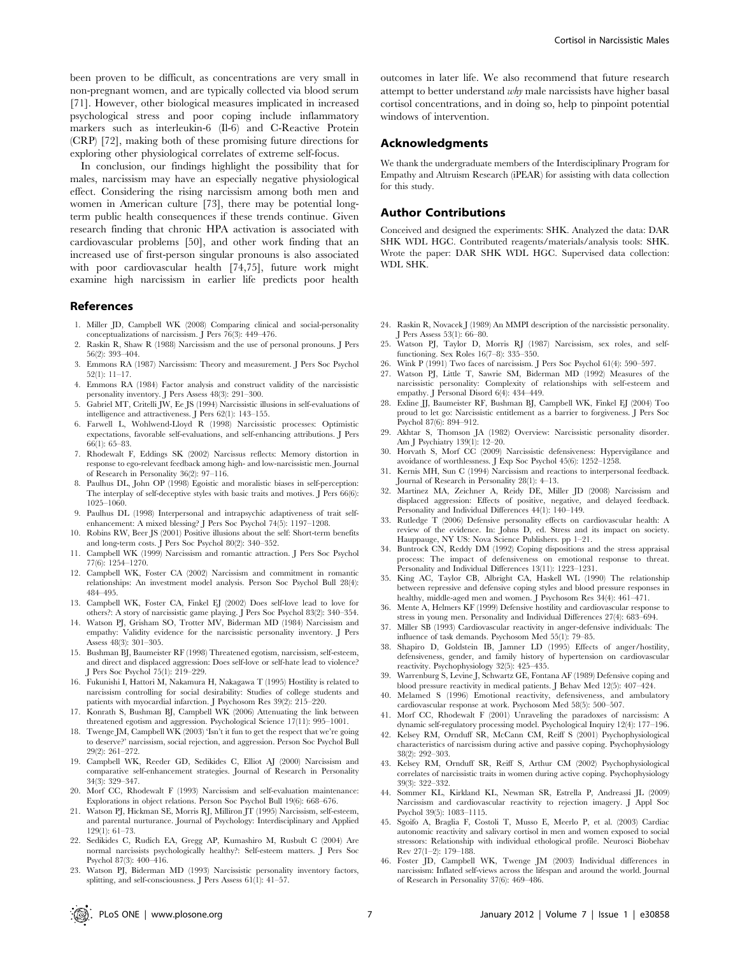been proven to be difficult, as concentrations are very small in non-pregnant women, and are typically collected via blood serum [71]. However, other biological measures implicated in increased psychological stress and poor coping include inflammatory markers such as interleukin-6 (Il-6) and C-Reactive Protein (CRP) [72], making both of these promising future directions for exploring other physiological correlates of extreme self-focus.

In conclusion, our findings highlight the possibility that for males, narcissism may have an especially negative physiological effect. Considering the rising narcissism among both men and women in American culture [73], there may be potential longterm public health consequences if these trends continue. Given research finding that chronic HPA activation is associated with cardiovascular problems [50], and other work finding that an increased use of first-person singular pronouns is also associated with poor cardiovascular health [74,75], future work might examine high narcissism in earlier life predicts poor health

#### References

- 1. Miller JD, Campbell WK (2008) Comparing clinical and social-personality conceptualizations of narcissism. J Pers 76(3): 449–476.
- 2. Raskin R, Shaw R (1988) Narcissism and the use of personal pronouns. J Pers 56(2): 393–404.
- 3. Emmons RA (1987) Narcissism: Theory and measurement. J Pers Soc Psychol 52(1): 11–17.
- 4. Emmons RA (1984) Factor analysis and construct validity of the narcissistic personality inventory. J Pers Assess 48(3): 291–300.
- 5. Gabriel MT, Critelli JW, Ee JS (1994) Narcissistic illusions in self-evaluations of intelligence and attractiveness. J Pers 62(1): 143–155.
- 6. Farwell L, Wohlwend-Lloyd R (1998) Narcissistic processes: Optimistic expectations, favorable self-evaluations, and self-enhancing attributions. J Pers 66(1): 65–83.
- 7. Rhodewalt F, Eddings SK (2002) Narcissus reflects: Memory distortion in response to ego-relevant feedback among high- and low-narcissistic men. Journal of Research in Personality 36(2): 97–116.
- Paulhus DL, John OP (1998) Egoistic and moralistic biases in self-perception: The interplay of self-deceptive styles with basic traits and motives.  $\int$  Pers 66(6): 1025–1060.
- 9. Paulhus DL (1998) Interpersonal and intrapsychic adaptiveness of trait selfenhancement: A mixed blessing? J Pers Soc Psychol 74(5): 1197–1208.
- 10. Robins RW, Beer JS (2001) Positive illusions about the self: Short-term benefits and long-term costs. J Pers Soc Psychol 80(2): 340–352.
- 11. Campbell WK (1999) Narcissism and romantic attraction. J Pers Soc Psychol 77(6): 1254–1270.
- 12. Campbell WK, Foster CA (2002) Narcissism and commitment in romantic relationships: An investment model analysis. Person Soc Psychol Bull 28(4): 484–495.
- 13. Campbell WK, Foster CA, Finkel EJ (2002) Does self-love lead to love for others?: A story of narcissistic game playing. J Pers Soc Psychol 83(2): 340–354.
- 14. Watson PJ, Grisham SO, Trotter MV, Biderman MD (1984) Narcissism and empathy: Validity evidence for the narcissistic personality inventory. J Pers Assess 48(3): 301–305.
- 15. Bushman BJ, Baumeister RF (1998) Threatened egotism, narcissism, self-esteem, and direct and displaced aggression: Does self-love or self-hate lead to violence? J Pers Soc Psychol 75(1): 219–229.
- 16. Fukunishi I, Hattori M, Nakamura H, Nakagawa T (1995) Hostility is related to narcissism controlling for social desirability: Studies of college students and patients with myocardial infarction. J Psychosom Res 39(2): 215–220.
- 17. Konrath S, Bushman BJ, Campbell WK (2006) Attenuating the link between threatened egotism and aggression. Psychological Science 17(11): 995–1001.
- 18. Twenge JM, Campbell WK (2003) 'Isn't it fun to get the respect that we're going to deserve?' narcissism, social rejection, and aggression. Person Soc Psychol Bull 29(2): 261–272.
- 19. Campbell WK, Reeder GD, Sedikides C, Elliot AJ (2000) Narcissism and comparative self-enhancement strategies. Journal of Research in Personality 34(3): 329–347.
- 20. Morf CC, Rhodewalt F (1993) Narcissism and self-evaluation maintenance: Explorations in object relations. Person Soc Psychol Bull 19(6): 668–676.
- 21. Watson PJ, Hickman SE, Morris RJ, Milliron JT (1995) Narcissism, self-esteem, and parental nurturance. Journal of Psychology: Interdisciplinary and Applied 129(1): 61–73.
- 22. Sedikides C, Rudich EA, Gregg AP, Kumashiro M, Rusbult C (2004) Are normal narcissists psychologically healthy?: Self-esteem matters. J Pers Soc Psychol 87(3): 400–416.
- 23. Watson PJ, Biderman MD (1993) Narcissistic personality inventory factors, splitting, and self-consciousness. J Pers Assess 61(1): 41–57.

outcomes in later life. We also recommend that future research attempt to better understand why male narcissists have higher basal cortisol concentrations, and in doing so, help to pinpoint potential windows of intervention.

# Acknowledgments

We thank the undergraduate members of the Interdisciplinary Program for Empathy and Altruism Research (iPEAR) for assisting with data collection for this study.

#### Author Contributions

Conceived and designed the experiments: SHK. Analyzed the data: DAR SHK WDL HGC. Contributed reagents/materials/analysis tools: SHK. Wrote the paper: DAR SHK WDL HGC. Supervised data collection: WDL SHK.

- 24. Raskin R, Novacek J (1989) An MMPI description of the narcissistic personality. J Pers Assess 53(1): 66–80.
- 25. Watson PJ, Taylor D, Morris RJ (1987) Narcissism, sex roles, and selffunctioning. Sex Roles 16(7–8): 335–350.
- 26. Wink P (1991) Two faces of narcissism. J Pers Soc Psychol 61(4): 590–597.
- 27. Watson PJ, Little T, Sawrie SM, Biderman MD (1992) Measures of the narcissistic personality: Complexity of relationships with self-esteem and empathy. J Personal Disord  $6(4)$ :  $434-449$ .
- 28. Exline JJ, Baumeister RF, Bushman BJ, Campbell WK, Finkel EJ (2004) Too proud to let go: Narcissistic entitlement as a barrier to forgiveness. J Pers Soc Psychol 87(6): 894–912.
- 29. Akhtar S, Thomson JA (1982) Overview: Narcissistic personality disorder. Am J Psychiatry 139(1): 12–20.
- 30. Horvath S, Morf CC (2009) Narcissistic defensiveness: Hypervigilance and avoidance of worthlessness. J Exp Soc Psychol 45(6): 1252–1258.
- 31. Kernis MH, Sun C (1994) Narcissism and reactions to interpersonal feedback. Journal of Research in Personality 28(1): 4–13.
- 32. Martinez MA, Zeichner A, Reidy DE, Miller JD (2008) Narcissism and displaced aggression: Effects of positive, negative, and delayed feedback. Personality and Individual Differences 44(1): 140–149.
- 33. Rutledge T (2006) Defensive personality effects on cardiovascular health: A review of the evidence. In: Johns D, ed. Stress and its impact on society. Hauppauge, NY US: Nova Science Publishers. pp 1–21.
- 34. Buntrock CN, Reddy DM (1992) Coping dispositions and the stress appraisal process: The impact of defensiveness on emotional response to threat. Personality and Individual Differences 13(11): 1223–1231.
- 35. King AC, Taylor CB, Albright CA, Haskell WL (1990) The relationship between repressive and defensive coping styles and blood pressure responses in healthy, middle-aged men and women. J Psychosom Res 34(4): 461–471.
- 36. Mente A, Helmers KF (1999) Defensive hostility and cardiovascular response to stress in young men. Personality and Individual Differences 27(4): 683–694.
- 37. Miller SB (1993) Cardiovascular reactivity in anger-defensive individuals: The influence of task demands. Psychosom Med 55(1): 79–85.
- 38. Shapiro D, Goldstein IB, Jamner LD (1995) Effects of anger/hostility, defensiveness, gender, and family history of hypertension on cardiovascular reactivity. Psychophysiology 32(5): 425–435.
- 39. Warrenburg S, Levine J, Schwartz GE, Fontana AF (1989) Defensive coping and blood pressure reactivity in medical patients. J Behav Med 12(5): 407–424.
- 40. Melamed S (1996) Emotional reactivity, defensiveness, and ambulatory cardiovascular response at work. Psychosom Med 58(5): 500–507.
- 41. Morf CC, Rhodewalt F (2001) Unraveling the paradoxes of narcissism: A dynamic self-regulatory processing model. Psychological Inquiry 12(4): 177–196.
- 42. Kelsey RM, Ornduff SR, McCann CM, Reiff S (2001) Psychophysiological characteristics of narcissism during active and passive coping. Psychophysiology 38(2): 292–303.
- 43. Kelsey RM, Ornduff SR, Reiff S, Arthur CM (2002) Psychophysiological correlates of narcissistic traits in women during active coping. Psychophysiology 39(3): 322–332.
- 44. Sommer KL, Kirkland KL, Newman SR, Estrella P, Andreassi JL (2009) Narcissism and cardiovascular reactivity to rejection imagery. J Appl Soc Psychol 39(5): 1083–1115.
- 45. Sgoifo A, Braglia F, Costoli T, Musso E, Meerlo P, et al. (2003) Cardiac autonomic reactivity and salivary cortisol in men and women exposed to social stressors: Relationship with individual ethological profile. Neurosci Biobehav Rev 27(1–2): 179–188.
- 46. Foster JD, Campbell WK, Twenge JM (2003) Individual differences in narcissism: Inflated self-views across the lifespan and around the world. Journal of Research in Personality 37(6): 469–486.